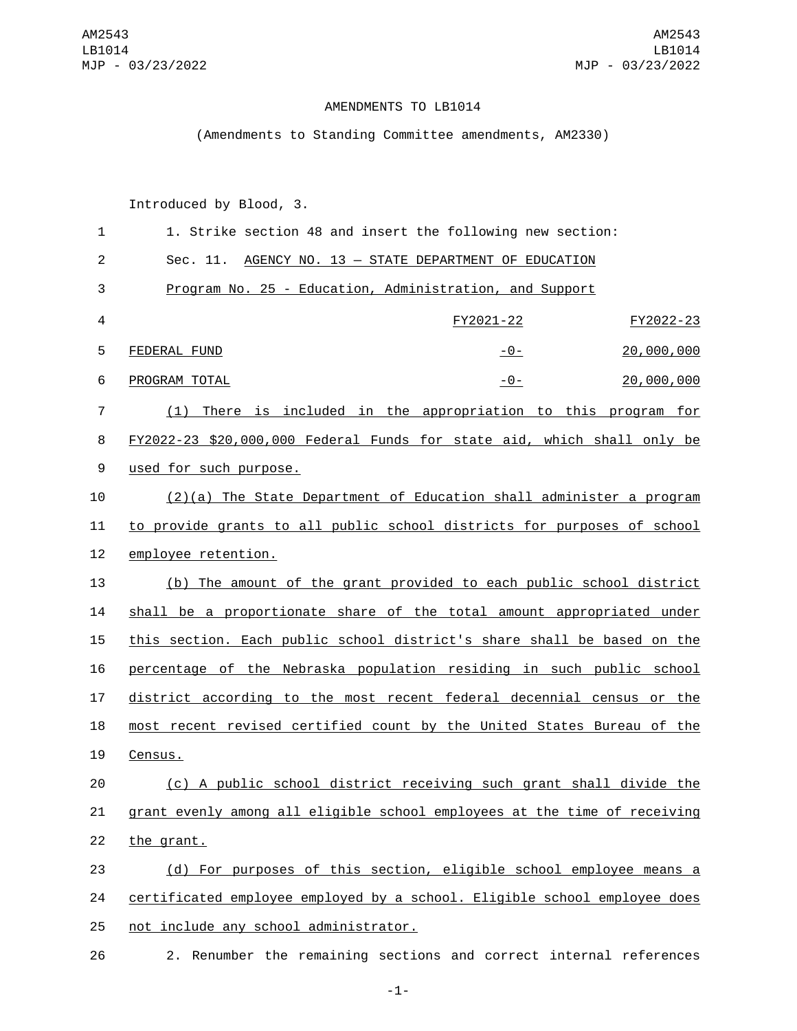## AMENDMENTS TO LB1014

## (Amendments to Standing Committee amendments, AM2330)

Introduced by Blood, 3.

| $\mathbf{1}$   | 1. Strike section 48 and insert the following new section:                |  |
|----------------|---------------------------------------------------------------------------|--|
| $\overline{2}$ | Sec. 11. AGENCY NO. 13 - STATE DEPARTMENT OF EDUCATION                    |  |
| 3              | Program No. 25 - Education, Administration, and Support                   |  |
| 4              | FY2021-22<br>FY2022-23                                                    |  |
| 5              | 20,000,000<br>FEDERAL FUND<br>$-0-$                                       |  |
| 6              | PROGRAM TOTAL<br>20,000,000<br>$-0-$                                      |  |
| 7              | (1) There is included in the appropriation to this program for            |  |
| 8              | FY2022-23 \$20,000,000 Federal Funds for state aid, which shall only be   |  |
| 9              | used for such purpose.                                                    |  |
| 10             | $(2)(a)$ The State Department of Education shall administer a program     |  |
| 11             | to provide grants to all public school districts for purposes of school   |  |
| 12             | employee retention.                                                       |  |
| 13             | (b) The amount of the grant provided to each public school district       |  |
| 14             | shall be a proportionate share of the total amount appropriated under     |  |
| 15             | this section. Each public school district's share shall be based on the   |  |
| 16             | percentage of the Nebraska population residing in such public school      |  |
| 17             | district according to the most recent federal decennial census or the     |  |
| 18             | most recent revised certified count by the United States Bureau of the    |  |
| 19             | Census.                                                                   |  |
| 20             | (c) A public school district receiving such grant shall divide the        |  |
| 21             | grant evenly among all eligible school employees at the time of receiving |  |
| 22             | the grant.                                                                |  |
| 23             | (d) For purposes of this section, eligible school employee means a        |  |
| 24             | certificated employee employed by a school. Eligible school employee does |  |
| 25             | not include any school administrator.                                     |  |
|                |                                                                           |  |

26 2. Renumber the remaining sections and correct internal references